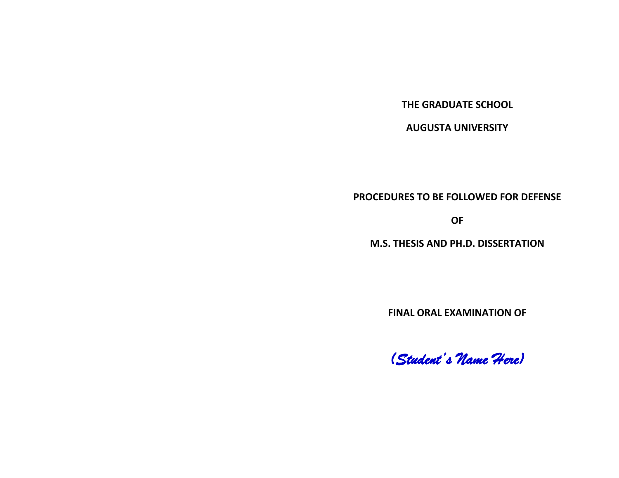**THE GRADUATE SCHOOL**

**AUGUSTA UNIVERSITY**

**PROCEDURES TO BE FOLLOWED FOR DEFENSE**

**OF**

**M.S. THESIS AND PH.D. DISSERTATION**

**FINAL ORAL EXAMINATION OF**

*(Student's Name Here)*